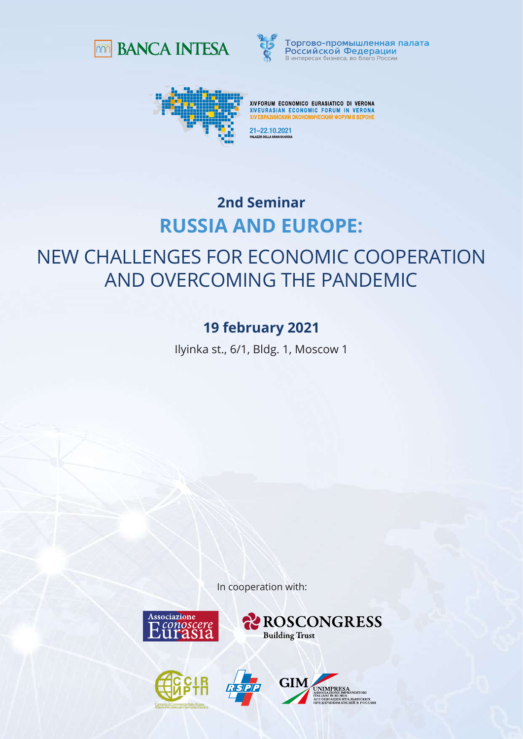



Торгово-промышленная палата Российской Федерации B интересах бизнеса во благо России



XIVFORUM ECONOMICO EURASIATICO DI VERONA **XIVEURASIAN ECONOMIC FORUM IN VERONA**<br>XIVEURASIAN ECONOMIC FORUM IN VERONA

21–22.10.2021

## **RUSSIA AND EUROPE: 2nd Seminar**

## NEW CHALLENGES FOR ECONOMIC COOPERATION AND OVERCOMING THE PANDEMIC

## **19 february 2021**

Ilyinka st., 6/1, Bldg. 1, Moscow 1

In cooperation with:









**GIM** SIA<br>ИТАЛЬЯНСКИХ<br>АТЕЛЕЙ В РОССИИ